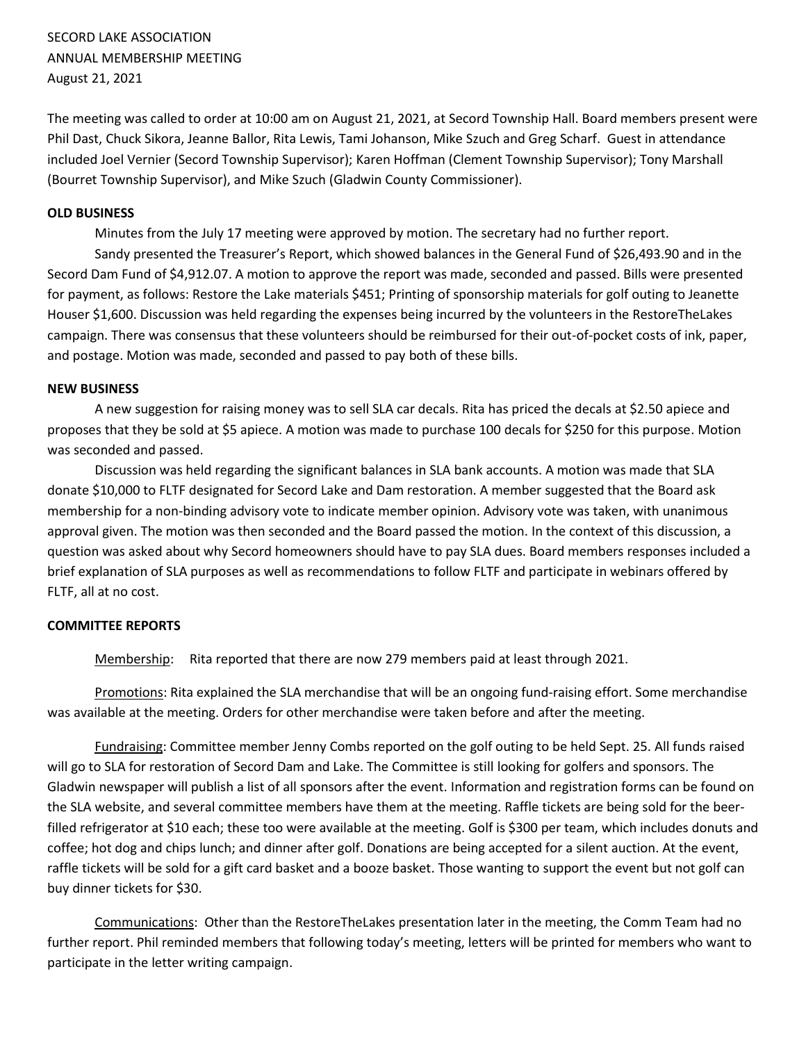SECORD LAKE ASSOCIATION ANNUAL MEMBERSHIP MEETING August 21, 2021

The meeting was called to order at 10:00 am on August 21, 2021, at Secord Township Hall. Board members present were Phil Dast, Chuck Sikora, Jeanne Ballor, Rita Lewis, Tami Johanson, Mike Szuch and Greg Scharf. Guest in attendance included Joel Vernier (Secord Township Supervisor); Karen Hoffman (Clement Township Supervisor); Tony Marshall (Bourret Township Supervisor), and Mike Szuch (Gladwin County Commissioner).

## **OLD BUSINESS**

Minutes from the July 17 meeting were approved by motion. The secretary had no further report.

Sandy presented the Treasurer's Report, which showed balances in the General Fund of \$26,493.90 and in the Secord Dam Fund of \$4,912.07. A motion to approve the report was made, seconded and passed. Bills were presented for payment, as follows: Restore the Lake materials \$451; Printing of sponsorship materials for golf outing to Jeanette Houser \$1,600. Discussion was held regarding the expenses being incurred by the volunteers in the RestoreTheLakes campaign. There was consensus that these volunteers should be reimbursed for their out-of-pocket costs of ink, paper, and postage. Motion was made, seconded and passed to pay both of these bills.

## **NEW BUSINESS**

A new suggestion for raising money was to sell SLA car decals. Rita has priced the decals at \$2.50 apiece and proposes that they be sold at \$5 apiece. A motion was made to purchase 100 decals for \$250 for this purpose. Motion was seconded and passed.

Discussion was held regarding the significant balances in SLA bank accounts. A motion was made that SLA donate \$10,000 to FLTF designated for Secord Lake and Dam restoration. A member suggested that the Board ask membership for a non-binding advisory vote to indicate member opinion. Advisory vote was taken, with unanimous approval given. The motion was then seconded and the Board passed the motion. In the context of this discussion, a question was asked about why Secord homeowners should have to pay SLA dues. Board members responses included a brief explanation of SLA purposes as well as recommendations to follow FLTF and participate in webinars offered by FLTF, all at no cost.

## **COMMITTEE REPORTS**

Membership: Rita reported that there are now 279 members paid at least through 2021.

Promotions: Rita explained the SLA merchandise that will be an ongoing fund-raising effort. Some merchandise was available at the meeting. Orders for other merchandise were taken before and after the meeting.

Fundraising: Committee member Jenny Combs reported on the golf outing to be held Sept. 25. All funds raised will go to SLA for restoration of Secord Dam and Lake. The Committee is still looking for golfers and sponsors. The Gladwin newspaper will publish a list of all sponsors after the event. Information and registration forms can be found on the SLA website, and several committee members have them at the meeting. Raffle tickets are being sold for the beerfilled refrigerator at \$10 each; these too were available at the meeting. Golf is \$300 per team, which includes donuts and coffee; hot dog and chips lunch; and dinner after golf. Donations are being accepted for a silent auction. At the event, raffle tickets will be sold for a gift card basket and a booze basket. Those wanting to support the event but not golf can buy dinner tickets for \$30.

Communications: Other than the RestoreTheLakes presentation later in the meeting, the Comm Team had no further report. Phil reminded members that following today's meeting, letters will be printed for members who want to participate in the letter writing campaign.